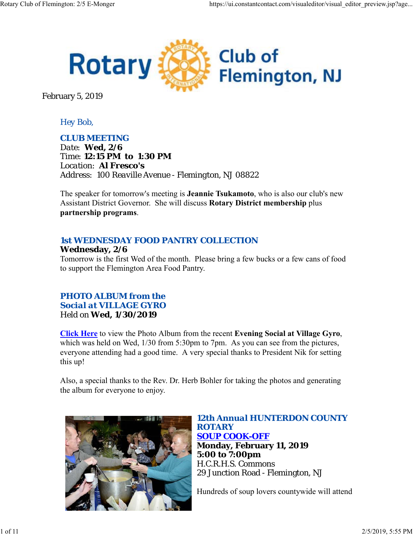

February 5, 2019

## *Hey Bob,*

### *CLUB MEETING*

*Date: Wed, 2/6 Time: 12:15 PM to 1:30 PM Location: Al Fresco's Address: 100 Reaville Avenue - Flemington, NJ 08822*

The speaker for tomorrow's meeting is **Jeannie Tsukamoto**, who is also our club's new Assistant District Governor. She will discuss **Rotary District membership** plus **partnership programs**.

## *1st WEDNESDAY FOOD PANTRY COLLECTION*

### **Wednesday, 2/6**

Tomorrow is the first Wed of the month. Please bring a few bucks or a few cans of food to support the Flemington Area Food Pantry.

## *PHOTO ALBUM from the Social at VILLAGE GYRO* Held on **Wed, 1/30/2019**

**Click Here** to view the Photo Album from the recent **Evening Social at Village Gyro**, which was held on Wed,  $1/30$  from 5:30pm to 7pm. As you can see from the pictures, everyone attending had a good time. A very special thanks to President Nik for setting this up!

Also, a special thanks to the Rev. Dr. Herb Bohler for taking the photos and generating the album for everyone to enjoy.



*12th Annual HUNTERDON COUNTY ROTARY SOUP COOK-OFF* **Monday, February 11, 2019 5:00 to 7:00pm** H.C.R.H.S. Commons 29 Junction Road - Flemington, NJ

Hundreds of soup lovers countywide will attend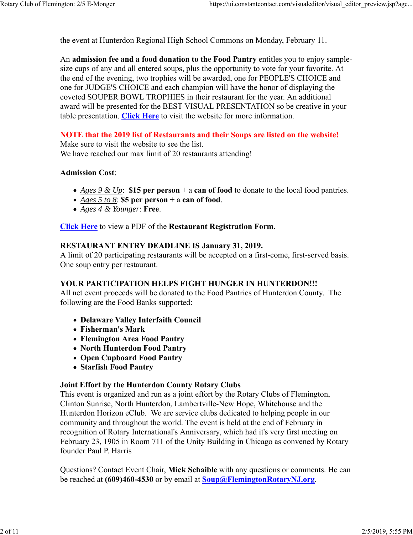the event at Hunterdon Regional High School Commons on Monday, February 11.

An **admission fee and a food donation to the Food Pantry** entitles you to enjoy samplesize cups of any and all entered soups, plus the opportunity to vote for your favorite. At the end of the evening, two trophies will be awarded, one for PEOPLE'S CHOICE and one for JUDGE'S CHOICE and each champion will have the honor of displaying the coveted SOUPER BOWL TROPHIES in their restaurant for the year. An additional award will be presented for the BEST VISUAL PRESENTATION so be creative in your table presentation. **Click Here** to visit the website for more information.

### **NOTE that the 2019 list of Restaurants and their Soups are listed on the website!**

Make sure to visit the website to see the list. We have reached our max limit of 20 restaurants attending!

#### **Admission Cost**:

- *Ages 9 & Up*: **\$15 per person** + a **can of food** to donate to the local food pantries.
- *Ages 5 to 8*: **\$5 per person** + a **can of food**.
- *Ages 4 & Younger*: **Free**.

**Click Here** to view a PDF of the **Restaurant Registration Form**.

#### **RESTAURANT ENTRY DEADLINE IS January 31, 2019.**

A limit of 20 participating restaurants will be accepted on a first-come, first-served basis. One soup entry per restaurant.

#### **YOUR PARTICIPATION HELPS FIGHT HUNGER IN HUNTERDON!!!**

All net event proceeds will be donated to the Food Pantries of Hunterdon County. The following are the Food Banks supported:

- **Delaware Valley Interfaith Council**
- **Fisherman's Mark**
- **Flemington Area Food Pantry**
- **North Hunterdon Food Pantry**
- **Open Cupboard Food Pantry**
- **Starfish Food Pantry**

#### **Joint Effort by the Hunterdon County Rotary Clubs**

This event is organized and run as a joint effort by the Rotary Clubs of Flemington, Clinton Sunrise, North Hunterdon, Lambertville-New Hope, Whitehouse and the Hunterdon Horizon eClub. We are service clubs dedicated to helping people in our community and throughout the world. The event is held at the end of February in recognition of Rotary International's Anniversary, which had it's very first meeting on February 23, 1905 in Room 711 of the Unity Building in Chicago as convened by Rotary founder Paul P. Harris

Questions? Contact Event Chair, **Mick Schaible** with any questions or comments. He can be reached at **(609)460-4530** or by email at **Soup@FlemingtonRotaryNJ.org**.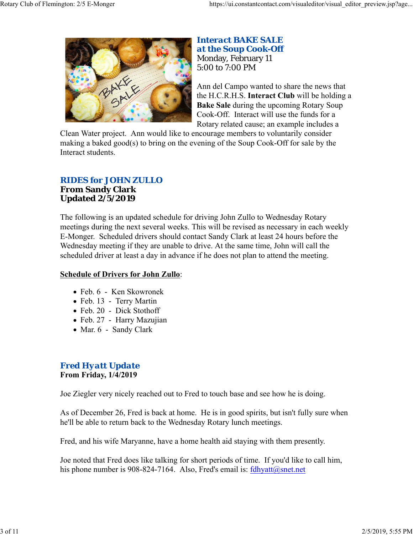

## *Interact BAKE SALE at the Soup Cook-Off* Monday, February 11 5:00 to 7:00 PM

Ann del Campo wanted to share the news that the H.C.R.H.S. **Interact Club** will be holding a **Bake Sale** during the upcoming Rotary Soup Cook-Off. Interact will use the funds for a Rotary related cause; an example includes a

Clean Water project. Ann would like to encourage members to voluntarily consider making a baked good(s) to bring on the evening of the Soup Cook-Off for sale by the Interact students.

## *RIDES for JOHN ZULLO*

#### **From Sandy Clark Updated 2/5/2019**

The following is an updated schedule for driving John Zullo to Wednesday Rotary meetings during the next several weeks. This will be revised as necessary in each weekly E-Monger. Scheduled drivers should contact Sandy Clark at least 24 hours before the Wednesday meeting if they are unable to drive. At the same time, John will call the scheduled driver at least a day in advance if he does not plan to attend the meeting.

## **Schedule of Drivers for John Zullo**:

- Feb. 6 Ken Skowronek
- Feb. 13 Terry Martin
- Feb. 20 Dick Stothoff
- Feb. 27 Harry Mazujian
- Mar. 6 Sandy Clark

## *Fred Hyatt Update* **From Friday, 1/4/2019**

Joe Ziegler very nicely reached out to Fred to touch base and see how he is doing.

As of December 26, Fred is back at home. He is in good spirits, but isn't fully sure when he'll be able to return back to the Wednesday Rotary lunch meetings.

Fred, and his wife Maryanne, have a home health aid staying with them presently.

Joe noted that Fred does like talking for short periods of time. If you'd like to call him, his phone number is 908-824-7164. Also, Fred's email is:  $fd$ hyatt $@$ snet.net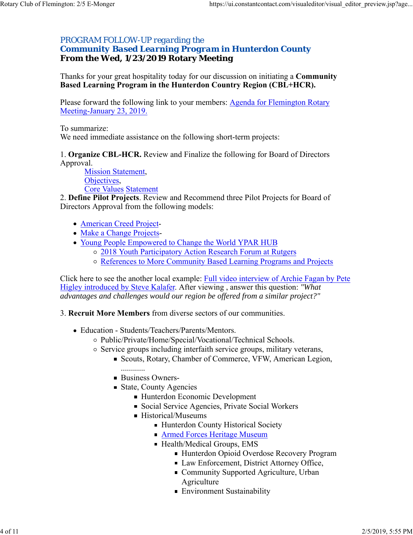### *PROGRAM FOLLOW-UP regarding the Community Based Learning Program in Hunterdon County* **From the Wed, 1/23/2019 Rotary Meeting**

Thanks for your great hospitality today for our discussion on initiating a **Community Based Learning Program in the Hunterdon Country Region (CBL+HCR).**

Please forward the following link to your members: Agenda for Flemington Rotary Meeting-January 23, 2019.

To summarize:

We need immediate assistance on the following short-term projects:

1. **Organize CBL-HCR.** Review and Finalize the following for Board of Directors Approval.

Mission Statement, Objectives, Core Values Statement

2. **Define Pilot Projects**. Review and Recommend three Pilot Projects for Board of Directors Approval from the following models:

- American Creed Project-
- Make a Change Projects-
- Young People Empowered to Change the World YPAR HUB
	- o 2018 Youth Participatory Action Research Forum at Rutgers
	- References to More Community Based Learning Programs and Projects

Click here to see the another local example: Full video interview of Archie Fagan by Pete Higley introduced by Steve Kalafer. After viewing , answer this question: *"What advantages and challenges would our region be offered from a similar project?"*

3. **Recruit More Members** from diverse sectors of our communities.

- Education Students/Teachers/Parents/Mentors.
	- Public/Private/Home/Special/Vocational/Technical Schools.
	- $\circ$  Service groups including interfaith service groups, military veterans,
		- Scouts, Rotary, Chamber of Commerce, VFW, American Legion,
			- ............
		- Business Owners-
		- State, County Agencies
			- Hunterdon Economic Development
			- Social Service Agencies, Private Social Workers
			- Historical/Museums
				- **Hunterdon County Historical Society**
				- **Armed Forces Heritage Museum**
				- Health/Medical Groups, EMS
					- Hunterdon Opioid Overdose Recovery Program
					- Law Enforcement, District Attorney Office,
					- Community Supported Agriculture, Urban Agriculture
					- Environment Sustainability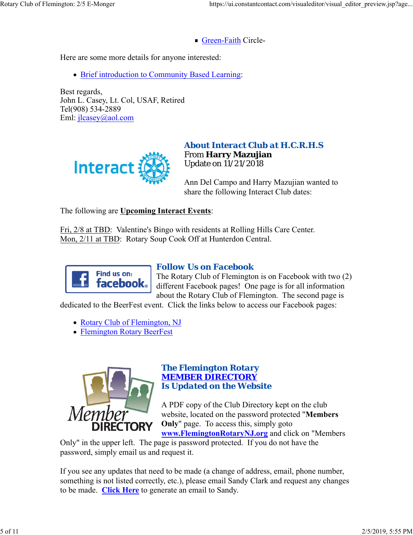Green-Faith Circle-

Here are some more details for anyone interested:

• Brief introduction to Community Based Learning:

Best regards, John L. Casey, Lt. Col, USAF, Retired Tel(908) 534-2889 Eml: jlcasey@aol.com



## *About Interact Club at H.C.R.H.S* From **Harry Mazujian** Update on 11/21/2018

Ann Del Campo and Harry Mazujian wanted to share the following Interact Club dates:

The following are **Upcoming Interact Events**:

Fri, 2/8 at TBD: Valentine's Bingo with residents at Rolling Hills Care Center. Mon, 2/11 at TBD: Rotary Soup Cook Off at Hunterdon Central.



## *Follow Us on Facebook*

The Rotary Club of Flemington is on Facebook with two (2) different Facebook pages! One page is for all information about the Rotary Club of Flemington. The second page is

dedicated to the BeerFest event. Click the links below to access our Facebook pages:

• Rotary Club of Flemington, NJ

Flemington Rotary BeerFest



### *The Flemington Rotary MEMBER DIRECTORY Is Updated on the Website*

A PDF copy of the Club Directory kept on the club website, located on the password protected "**Members Only**" page. To access this, simply goto

**www.FlemingtonRotaryNJ.org** and click on "Members Only" in the upper left. The page is password protected. If you do not have the password, simply email us and request it.

If you see any updates that need to be made (a change of address, email, phone number, something is not listed correctly, etc.), please email Sandy Clark and request any changes to be made. **Click Here** to generate an email to Sandy.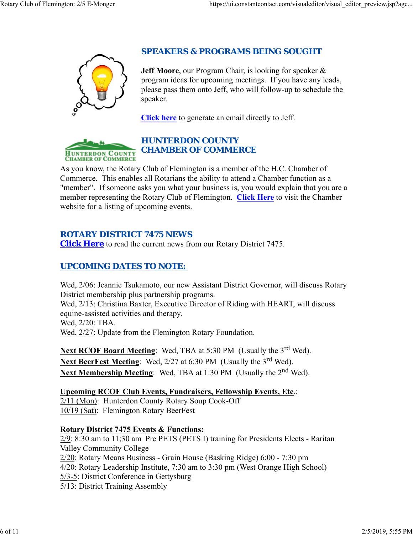

## *SPEAKERS & PROGRAMS BEING SOUGHT*

**Jeff Moore**, our Program Chair, is looking for speaker & program ideas for upcoming meetings. If you have any leads, please pass them onto Jeff, who will follow-up to schedule the speaker.

**Click here** to generate an email directly to Jeff.



## *HUNTERDON COUNTY CHAMBER OF COMMERCE*

As you know, the Rotary Club of Flemington is a member of the H.C. Chamber of Commerce. This enables all Rotarians the ability to attend a Chamber function as a "member". If someone asks you what your business is, you would explain that you are a member representing the Rotary Club of Flemington. **Click Here** to visit the Chamber website for a listing of upcoming events.

## *ROTARY DISTRICT 7475 NEWS*

**Click Here** to read the current news from our Rotary District 7475.

## *UPCOMING DATES TO NOTE:*

Wed, 2/06: Jeannie Tsukamoto, our new Assistant District Governor, will discuss Rotary District membership plus partnership programs.

Wed, 2/13: Christina Baxter, Executive Director of Riding with HEART, will discuss equine-assisted activities and therapy.

Wed, 2/20: TBA.

Wed, 2/27: Update from the Flemington Rotary Foundation.

**Next RCOF Board Meeting:** Wed, TBA at 5:30 PM (Usually the 3<sup>rd</sup> Wed). Next BeerFest Meeting: Wed, 2/27 at 6:30 PM (Usually the 3<sup>rd</sup> Wed). Next Membership Meeting: Wed, TBA at 1:30 PM (Usually the 2<sup>nd</sup> Wed).

**Upcoming RCOF Club Events, Fundraisers, Fellowship Events, Etc**.: 2/11 (Mon): Hunterdon County Rotary Soup Cook-Off 10/19 (Sat): Flemington Rotary BeerFest

## **Rotary District 7475 Events & Functions:**

2/9: 8:30 am to 11;30 am Pre PETS (PETS I) training for Presidents Elects - Raritan Valley Community College 2/20: Rotary Means Business - Grain House (Basking Ridge) 6:00 - 7:30 pm 4/20: Rotary Leadership Institute, 7:30 am to 3:30 pm (West Orange High School) 5/3-5: District Conference in Gettysburg 5/13: District Training Assembly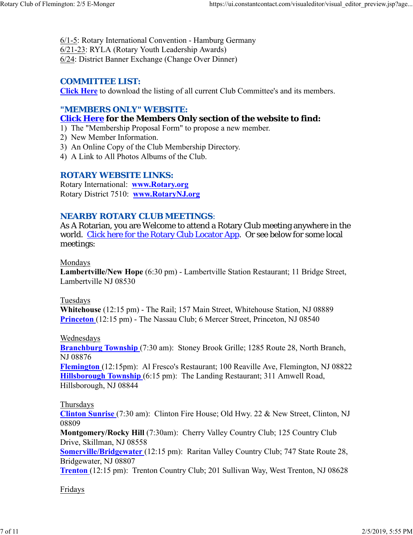6/1-5: Rotary International Convention - Hamburg Germany 6/21-23: RYLA (Rotary Youth Leadership Awards) 6/24: District Banner Exchange (Change Over Dinner)

### *COMMITTEE LIST:*

**Click Here** to download the listing of all current Club Committee's and its members.

## *"MEMBERS ONLY" WEBSITE:*

### **Click Here for the Members Only section of the website to find:**

1) The "Membership Proposal Form" to propose a new member.

- 2) New Member Information.
- 3) An Online Copy of the Club Membership Directory.
- 4) A Link to All Photos Albums of the Club.

### *ROTARY WEBSITE LINKS:*

Rotary International: **www.Rotary.org** Rotary District 7510: **www.RotaryNJ.org**

### *NEARBY ROTARY CLUB MEETINGS:*

As A Rotarian, you are Welcome to attend a Rotary Club meeting anywhere in the world. Click here for the Rotary Club Locator App. Or see below for some local meetings:

#### Mondays

**Lambertville/New Hope** (6:30 pm) - Lambertville Station Restaurant; 11 Bridge Street, Lambertville NJ 08530

### Tuesdays

**Whitehouse** (12:15 pm) - The Rail; 157 Main Street, Whitehouse Station, NJ 08889 **Princeton** (12:15 pm) - The Nassau Club; 6 Mercer Street, Princeton, NJ 08540

### Wednesdays

**Branchburg Township** (7:30 am): Stoney Brook Grille; 1285 Route 28, North Branch, NJ 08876

**Flemington** (12:15pm): Al Fresco's Restaurant; 100 Reaville Ave, Flemington, NJ 08822 **Hillsborough Township** (6:15 pm): The Landing Restaurant; 311 Amwell Road, Hillsborough, NJ 08844

### Thursdays

**Clinton Sunrise** (7:30 am): Clinton Fire House; Old Hwy. 22 & New Street, Clinton, NJ 08809

**Montgomery/Rocky Hill** (7:30am): Cherry Valley Country Club; 125 Country Club Drive, Skillman, NJ 08558

**Somerville/Bridgewater** (12:15 pm): Raritan Valley Country Club; 747 State Route 28, Bridgewater, NJ 08807

**Trenton** (12:15 pm): Trenton Country Club; 201 Sullivan Way, West Trenton, NJ 08628

### Fridays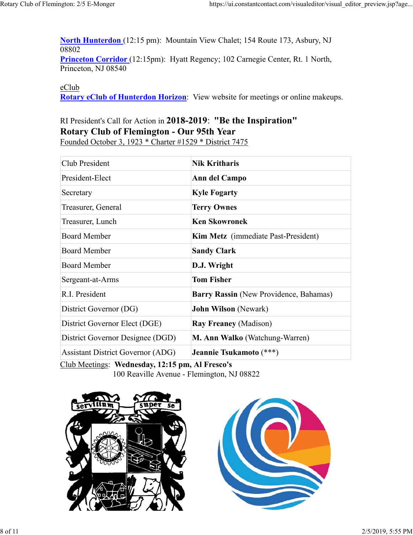**North Hunterdon** (12:15 pm): Mountain View Chalet; 154 Route 173, Asbury, NJ 08802 **Princeton Corridor** (12:15pm): Hyatt Regency; 102 Carnegie Center, Rt. 1 North, Princeton, NJ 08540

#### eClub

**Rotary eClub of Hunterdon Horizon**: View website for meetings or online makeups.

## RI President's Call for Action in **2018-2019**: **"Be the Inspiration" Rotary Club of Flemington - Our 95th Year** Founded October 3, 1923 \* Charter #1529 \* District 7475

| <b>Nik Kritharis</b>                   |  |
|----------------------------------------|--|
| Ann del Campo                          |  |
| <b>Kyle Fogarty</b>                    |  |
| <b>Terry Ownes</b>                     |  |
| <b>Ken Skowronek</b>                   |  |
| Kim Metz (immediate Past-President)    |  |
| <b>Sandy Clark</b>                     |  |
| D.J. Wright                            |  |
| <b>Tom Fisher</b>                      |  |
| Barry Rassin (New Providence, Bahamas) |  |
| <b>John Wilson</b> (Newark)            |  |
| <b>Ray Freaney (Madison)</b>           |  |
| M. Ann Walko (Watchung-Warren)         |  |
| Jeannie Tsukamoto (***)                |  |
|                                        |  |

Club Meetings: **Wednesday, 12:15 pm, Al Fresco's** 100 Reaville Avenue - Flemington, NJ 08822



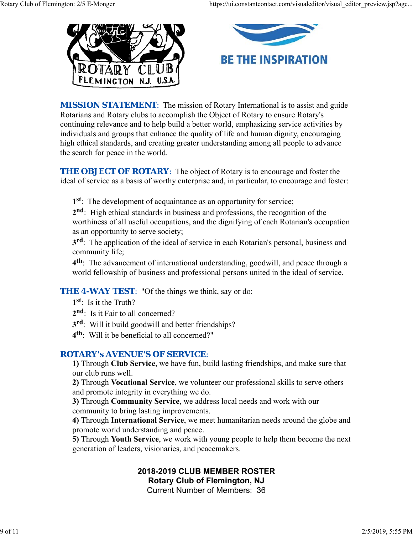



**MISSION STATEMENT:** The mission of Rotary International is to assist and guide Rotarians and Rotary clubs to accomplish the Object of Rotary to ensure Rotary's continuing relevance and to help build a better world, emphasizing service activities by individuals and groups that enhance the quality of life and human dignity, encouraging high ethical standards, and creating greater understanding among all people to advance the search for peace in the world.

**THE OBJECT OF ROTARY:** The object of Rotary is to encourage and foster the ideal of service as a basis of worthy enterprise and, in particular, to encourage and foster:

**1st**: The development of acquaintance as an opportunity for service;

**2nd**: High ethical standards in business and professions, the recognition of the worthiness of all useful occupations, and the dignifying of each Rotarian's occupation as an opportunity to serve society;

**3rd**: The application of the ideal of service in each Rotarian's personal, business and community life;

**4th**: The advancement of international understanding, goodwill, and peace through a world fellowship of business and professional persons united in the ideal of service.

**THE 4-WAY TEST:** "Of the things we think, say or do:

- **1st**: Is it the Truth?
- 2<sup>nd</sup>: Is it Fair to all concerned?
- **3rd**: Will it build goodwill and better friendships?
- **4th**: Will it be beneficial to all concerned?"

## *ROTARY's AVENUE'S OF SERVICE*:

**1)** Through **Club Service**, we have fun, build lasting friendships, and make sure that our club runs well.

**2)** Through **Vocational Service**, we volunteer our professional skills to serve others and promote integrity in everything we do.

**3)** Through **Community Service**, we address local needs and work with our community to bring lasting improvements.

**4)** Through **International Service**, we meet humanitarian needs around the globe and promote world understanding and peace.

**5)** Through **Youth Service**, we work with young people to help them become the next generation of leaders, visionaries, and peacemakers.

# **2018-2019 CLUB MEMBER ROSTER Rotary Club of Flemington, NJ**

Current Number of Members: 36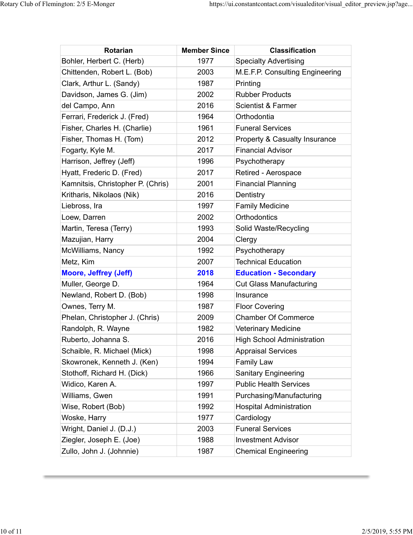| Rotarian                          | <b>Member Since</b> | <b>Classification</b>             |
|-----------------------------------|---------------------|-----------------------------------|
| Bohler, Herbert C. (Herb)         | 1977                | <b>Specialty Advertising</b>      |
| Chittenden, Robert L. (Bob)       | 2003                | M.E.F.P. Consulting Engineering   |
| Clark, Arthur L. (Sandy)          | 1987                | Printing                          |
| Davidson, James G. (Jim)          | 2002                | <b>Rubber Products</b>            |
| del Campo, Ann                    | 2016                | Scientist & Farmer                |
| Ferrari, Frederick J. (Fred)      | 1964                | Orthodontia                       |
| Fisher, Charles H. (Charlie)      | 1961                | <b>Funeral Services</b>           |
| Fisher, Thomas H. (Tom)           | 2012                | Property & Casualty Insurance     |
| Fogarty, Kyle M.                  | 2017                | <b>Financial Advisor</b>          |
| Harrison, Jeffrey (Jeff)          | 1996                | Psychotherapy                     |
| Hyatt, Frederic D. (Fred)         | 2017                | Retired - Aerospace               |
| Kamnitsis, Christopher P. (Chris) | 2001                | <b>Financial Planning</b>         |
| Kritharis, Nikolaos (Nik)         | 2016                | Dentistry                         |
| Liebross, Ira                     | 1997                | <b>Family Medicine</b>            |
| Loew, Darren                      | 2002                | <b>Orthodontics</b>               |
| Martin, Teresa (Terry)            | 1993                | Solid Waste/Recycling             |
| Mazujian, Harry                   | 2004                | Clergy                            |
| McWilliams, Nancy                 | 1992                | Psychotherapy                     |
| Metz, Kim                         | 2007                | <b>Technical Education</b>        |
| <b>Moore, Jeffrey (Jeff)</b>      | 2018                | <b>Education - Secondary</b>      |
| Muller, George D.                 | 1964                | <b>Cut Glass Manufacturing</b>    |
| Newland, Robert D. (Bob)          | 1998                | Insurance                         |
| Ownes, Terry M.                   | 1987                | <b>Floor Covering</b>             |
| Phelan, Christopher J. (Chris)    | 2009                | <b>Chamber Of Commerce</b>        |
| Randolph, R. Wayne                | 1982                | <b>Veterinary Medicine</b>        |
| Ruberto, Johanna S.               | 2016                | <b>High School Administration</b> |
| Schaible, R. Michael (Mick)       | 1998                | <b>Appraisal Services</b>         |
| Skowronek, Kenneth J. (Ken)       | 1994                | <b>Family Law</b>                 |
| Stothoff, Richard H. (Dick)       | 1966                | Sanitary Engineering              |
| Widico, Karen A.                  | 1997                | <b>Public Health Services</b>     |
| Williams, Gwen                    | 1991                | Purchasing/Manufacturing          |
| Wise, Robert (Bob)                | 1992                | <b>Hospital Administration</b>    |
| Woske, Harry                      | 1977                | Cardiology                        |
| Wright, Daniel J. (D.J.)          | 2003                | <b>Funeral Services</b>           |
| Ziegler, Joseph E. (Joe)          | 1988                | <b>Investment Advisor</b>         |
| Zullo, John J. (Johnnie)          | 1987                | <b>Chemical Engineering</b>       |